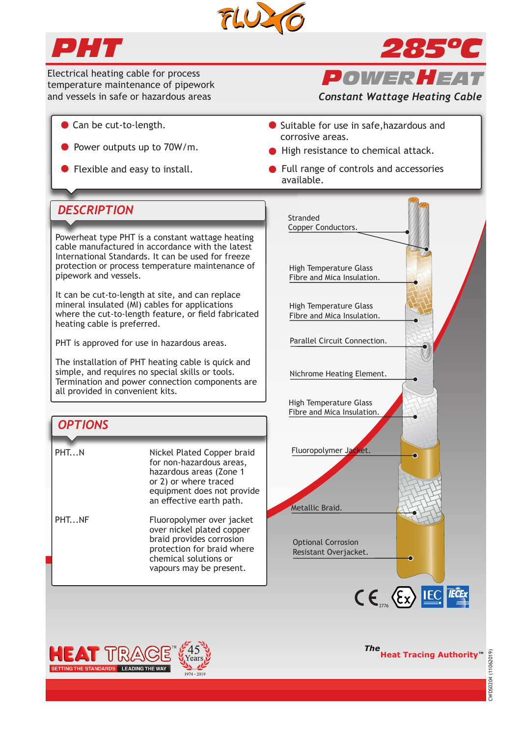



Electrical heating cable for process temperature maintenance of pipework and vessels in safe or hazardous areas

- Can be cut-to-length.
- Power outputs up to 70W/m.
- 

*POWER HEAT*

*285ºC*

*Constant Wattage Heating Cable*

- Suitable for use in safe, hazardous and corrosive areas.
- High resistance to chemical attack.
- Flexible and easy to install. **•• Full range of controls and accessories** available.

# *DESCRIPTION*

Powerheat type PHT is a constant wattage heating cable manufactured in accordance with the latest International Standards. It can be used for freeze protection or process temperature maintenance of pipework and vessels.

It can be cut-to-length at site, and can replace mineral insulated (MI) cables for applications where the cut-to-length feature, or field fabricated heating cable is preferred.

PHT is approved for use in hazardous areas.

The installation of PHT heating cable is quick and simple, and requires no special skills or tools. Termination and power connection components are all provided in convenient kits.

# *OPTIONS*

| PHTN  | Nickel Plated Copper braid<br>for non-hazardous areas,<br>hazardous areas (Zone 1<br>or 2) or where traced<br>equipment does not provide<br>an effective earth path. |
|-------|----------------------------------------------------------------------------------------------------------------------------------------------------------------------|
| PHTNF | Fluoropolymer over jacket<br>over nickel plated copper<br>braid provides corrosion<br>protection for braid where                                                     |

 chemical solutions or vapours may be present.